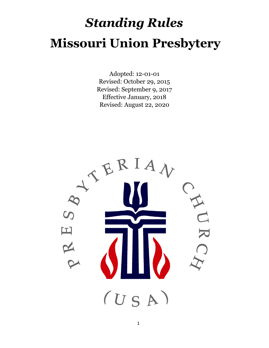# *Standing Rules* **Missouri Union Presbytery**

Adopted: 12-01-01 Revised: October 29, 2015 Revised: September 9, 2017 Effective January, 2018 Revised: August 22, 2020

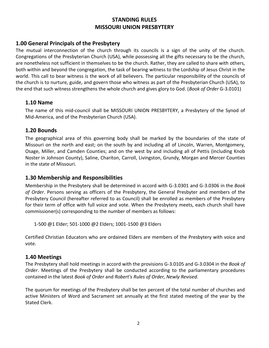# **STANDING RULES MISSOURI UNION PRESBYTERY**

## **1.00 General Principals of the Presbytery**

The mutual interconnection of the church through its councils is a sign of the unity of the church. Congregations of the Presbyterian Church (USA), while possessing all the gifts necessary to be the church, are nonetheless not sufficient in themselves to be the church. Rather, they are called to share with others, both within and beyond the congregation, the task of bearing witness to the Lordship of Jesus Christ in the world. This call to bear witness is the work of all believers. The particular responsibility of the councils of the church is to nurture, guide, and govern those who witness as part of the Presbyterian Church (USA), to the end that such witness strengthens the whole church and gives glory to God. (*Book of Order* G-3.0101)

#### **1.10 Name**

The name of this mid-council shall be MISSOURI UNION PRESBYTERY, a Presbytery of the Synod of Mid-America, and of the Presbyterian Church (USA).

## **1.20 Bounds**

The geographical area of this governing body shall be marked by the boundaries of the state of Missouri on the north and east; on the south by and including all of Lincoln, Warren, Montgomery, Osage, Miller, and Camden Counties; and on the west by and including all of Pettis (including Knob Noster in Johnson County), Saline, Chariton, Carroll, Livingston, Grundy, Morgan and Mercer Counties in the state of Missouri.

# **1.30 Membership and Responsibilities**

Membership in the Presbytery shall be determined in accord with G-3.0301 and G-3.0306 in the *Book of Order*. Persons serving as officers of the Presbytery, the General Presbyter and members of the Presbytery Council (hereafter referred to as Council) shall be enrolled as members of the Presbytery for their term of office with full voice and vote. When the Presbytery meets, each church shall have commissioner(s) corresponding to the number of members as follows:

1-500 @1 Elder; 501-1000 @2 Elders; 1001-1500 @3 Elders

Certified Christian Educators who are ordained Elders are members of the Presbytery with voice and vote.

#### **1.40 Meetings**

The Presbytery shall hold meetings in accord with the provisions G-3.0105 and G-3.0304 in the *Book of Order*. Meetings of the Presbytery shall be conducted according to the parliamentary procedures contained in the latest *Book of Order* and *Robert's Rules of Order, Newly Revised*.

The quorum for meetings of the Presbytery shall be ten percent of the total number of churches and active Ministers of Word and Sacrament set annually at the first stated meeting of the year by the Stated Clerk.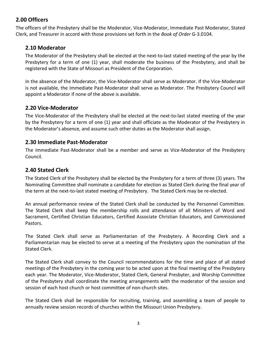# **2.00 Officers**

The officers of the Presbytery shall be the Moderator, Vice-Moderator, Immediate Past Moderator, Stated Clerk, and Treasurer in accord with those provisions set forth in the *Book of Order* G-3.0104.

# **2.10 Moderator**

The Moderator of the Presbytery shall be elected at the next-to-last stated meeting of the year by the Presbytery for a term of one (1) year, shall moderate the business of the Presbytery, and shall be registered with the State of Missouri as President of the Corporation.

In the absence of the Moderator, the Vice-Moderator shall serve as Moderator. If the Vice-Moderator is not available, the Immediate Past-Moderator shall serve as Moderator. The Presbytery Council will appoint a Moderator if none of the above is available.

## **2.20 Vice-Moderator**

The Vice-Moderator of the Presbytery shall be elected at the next-to-last stated meeting of the year by the Presbytery for a term of one (1) year and shall officiate as the Moderator of the Presbytery in the Moderator's absence, and assume such other duties as the Moderator shall assign.

## **2.30 Immediate Past-Moderator**

The Immediate Past-Moderator shall be a member and serve as Vice-Moderator of the Presbytery Council.

# **2.40 Stated Clerk**

The Stated Clerk of the Presbytery shall be elected by the Presbytery for a term of three (3) years. The Nominating Committee shall nominate a candidate for election as Stated Clerk during the final year of the term at the next-to-last stated meeting of Presbytery. The Stated Clerk may be re-elected.

An annual performance review of the Stated Clerk shall be conducted by the Personnel Committee. The Stated Clerk shall keep the membership rolls and attendance of all Ministers of Word and Sacrament, Certified Christian Educators, Certified Associate Christian Educators, and Commissioned Pastors.

The Stated Clerk shall serve as Parliamentarian of the Presbytery. A Recording Clerk and a Parliamentarian may be elected to serve at a meeting of the Presbytery upon the nomination of the Stated Clerk.

The Stated Clerk shall convey to the Council recommendations for the time and place of all stated meetings of the Presbytery in the coming year to be acted upon at the final meeting of the Presbytery each year. The Moderator, Vice-Moderator, Stated Clerk, General Presbyter, and Worship Committee of the Presbytery shall coordinate the meeting arrangements with the moderator of the session and session of each host church or host committee of non-church sites.

The Stated Clerk shall be responsible for recruiting, training, and assembling a team of people to annually review session records of churches within the Missouri Union Presbytery.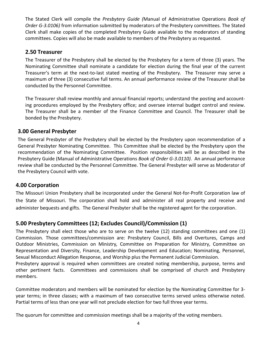The Stated Clerk will compile the *Presbytery Guide (*Manual of Administrative Operations *Book of Order G-3.0106)* from information submitted by moderators of the Presbytery committees. The Stated Clerk shall make copies of the completed Presbytery Guide available to the moderators of standing committees. Copies will also be made available to members of the Presbytery as requested.

## **2.50 Treasurer**

The Treasurer of the Presbytery shall be elected by the Presbytery for a term of three (3) years. The Nominating Committee shall nominate a candidate for election during the final year of the current Treasurer's term at the next-to-last stated meeting of the Presbytery. The Treasurer may serve a maximum of three (3) consecutive full terms. An annual performance review of the Treasurer shall be conducted by the Personnel Committee.

The Treasurer shall review monthly and annual financial reports; understand the posting and accounting procedures employed by the Presbytery office; and oversee internal budget control and review. The Treasurer shall be a member of the Finance Committee and Council. The Treasurer shall be bonded by the Presbytery.

## **3.00 General Presbyter**

The General Presbyter of the Presbytery shall be elected by the Presbytery upon recommendation of a General Presbyter Nominating Committee. This Committee shall be elected by the Presbytery upon the recommendation of the Nominating Committee. Position responsibilities will be as described in the Presbytery Guide (Manual of Administrative Operations *Book of Order G-3.0110)*. An annual performance review shall be conducted by the Personnel Committee. The General Presbyter will serve as Moderator of the Presbytery Council with vote.

#### **4.00 Corporation**

The Missouri Union Presbytery shall be incorporated under the General Not-for-Profit Corporation law of the State of Missouri. The corporation shall hold and administer all real property and receive and administer bequests and gifts. The General Presbyter shall be the registered agent for the corporation.

# **5.00 Presbytery Committees (12; Excludes Council)/Commission (1)**

The Presbytery shall elect those who are to serve on the twelve (12) standing committees and one (1) Commission*.* Those committees/commission are: Presbytery Council, Bills and Overtures, Camps and Outdoor Ministries, Commission on Ministry*,* Committee on Preparation for Ministry, Committee on Representation and Diversity, Finance, Leadership Development and Education; Nominating, Personnel, Sexual Misconduct Allegation Response, and Worship plus the Permanent Judicial Commission.

Presbytery approval is required when committees are created noting membership, purpose, terms and other pertinent facts. Committees and commissions shall be comprised of church and Presbytery members.

Committee moderators and members will be nominated for election by the Nominating Committee for 3 year terms; in three classes; with a maximum of two consecutive terms served unless otherwise noted. Partial terms of less than one year will not preclude election for two full three year terms.

The quorum for committee and commission meetings shall be a majority of the voting members.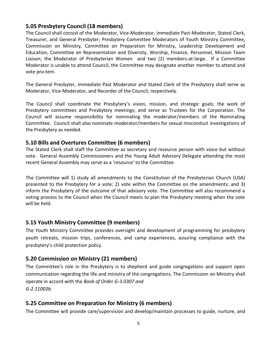## **5.05 Presbytery Council (18 members)**

The Council shall consist of the Moderator, Vice-Moderator, Immediate Past-Moderator, Stated Clerk, Treasurer, and General Presbyter; Presbytery Committee Moderators of Youth Ministry Committee, Commission on Ministry*,* Committee on Preparation for Ministry, Leadership Development and Education, Committee on Representation and Diversity, Worship, Finance, Personnel, Mission Team Liaison; the Moderator of Presbyterian Women and two (2) members-at-large. If a Committee Moderator is unable to attend Council, the Committee may designate another member to attend and vote pro-tem.

The General Presbyter, Immediate Past Moderator and Stated Clerk of the Presbytery shall serve as Moderator, Vice-Moderator, and Recorder of the Council, respectively.

The Council shall coordinate the Presbytery's vision, mission, and strategic goals; the work of Presbytery committees and Presbytery meetings; and serve as Trustees for the Corporation. The Council will assume responsibility for nominating the moderator/members of the Nominating Committee. Council shall also nominate moderator/members for sexual misconduct investigations of the Presbytery as needed.

## **5.10 Bills and Overtures Committee (6 members)**

The Stated Clerk shall staff the Committee as secretary and resource person with voice but without vote. General Assembly Commissioners and the Young Adult Advisory Delegate attending the most recent General Assembly may serve as a 'resource' to the Committee.

The Committee will 1) study all amendments to the Constitution of the Presbyterian Church (USA) presented to the Presbytery for a vote; 2) vote within the Committee on the amendments; and 3) inform the Presbytery of the outcome of that advisory vote. The Committee will also recommend a voting process to the Council when the Council meets to plan the Presbytery meeting when the vote will be held.

# **5.15 Youth Ministry Committee (9 members)**

The Youth Ministry Committee provides oversight and development of programming for presbytery youth retreats, mission trips, conferences, and camp experiences, assuring compliance with the presbytery's child protection policy.

# **5.20 Commission on Ministry (21 members)**

The Committee's role in the Presbytery is to shepherd and guide congregations and support open communication regarding the life and ministry of the congregations. The Commission on Ministry shall operate in accord with the *Book of Order G-3.0307 and G-2.11003b.* 

# **5.25 Committee on Preparation for Ministry (6 members)**

The Committee will provide care/supervision and develop/maintain processes to guide, nurture, and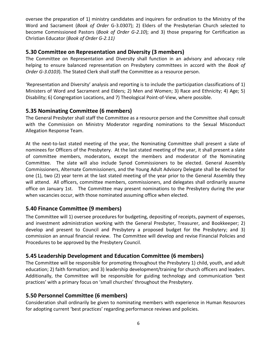oversee the preparation of 1) ministry candidates and inquirers for ordination to the Ministry of the Word and Sacrament (*Book of Order* G-3.0307); 2) Elders of the Presbyterian Church selected to become Commissioned Pastors (*Book of Order G-2.10*); and 3) those preparing for Certification as Christian Educator (*Book of Order G-2.11)*

## **5.30 Committee on Representation and Diversity (3 members)**

The Committee on Representation and Diversity shall function in an advisory and advocacy role helping to ensure balanced representation on Presbytery committees in accord with the *Book of Order G-3.0103*). The Stated Clerk shall staff the Committee as a resource person.

'Representation and Diversity' analysis and reporting is to include the participation classifications of 1) Ministers of Word and Sacrament and Elders; 2) Men and Women; 3) Race and Ethnicity; 4) Age; 5) Disability; 6) Congregation Locations, and 7) Theological Point-of-View, where possible.

# **5.35 Nominating Committee (6 members)**

The General Presbyter shall staff the Committee as a resource person and the Committee shall consult with the Commission on Ministry Moderator regarding nominations to the Sexual Misconduct Allegation Response Team.

At the next-to-last stated meeting of the year, the Nominating Committee shall present a slate of nominees for Officers of the Presbytery. At the last stated meeting of the year, it shall present a slate of committee members, moderators, except the members and moderator of the Nominating Committee. The slate will also include Synod Commissioners to be elected. General Assembly Commissioners, Alternate Commissioners, and the Young Adult Advisory Delegate shall be elected for one (1), two (2) year term at the last stated meeting of the year prior to the General Assembly they will attend. All officers, committee members, commissioners, and delegates shall ordinarily assume office on January 1st. The Committee may present nominations to the Presbytery during the year when vacancies occur, with those nominated assuming office when elected.

# **5.40 Finance Committee (9 members)**

The Committee will 1) oversee procedures for budgeting, depositing of receipts, payment of expenses, and investment administration working with the General Presbyter, Treasurer, and Bookkeeper; 2) develop and present to Council and Presbytery a proposed budget for the Presbytery; and 3) commission an annual financial review. The Committee will develop and revise Financial Policies and Procedures to be approved by the Presbytery Council.

# **5.45 Leadership Development and Education Committee (6 members)**

The Committee will be responsible for promoting throughout the Presbytery 1) child, youth, and adult education; 2) faith formation; and 3) leadership development/training for church officers and leaders. Additionally, the Committee will be responsible for guiding technology and communication 'best practices' with a primary focus on 'small churches' throughout the Presbytery.

# **5.50 Personnel Committee (6 members)**

Consideration shall ordinarily be given to nominating members with experience in Human Resources for adopting current 'best practices' regarding performance reviews and policies.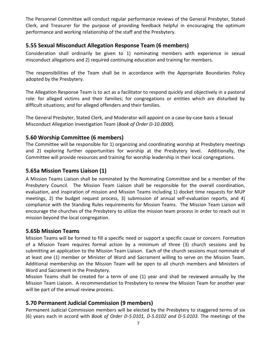The Personnel Committee will conduct regular performance reviews of the General Presbyter, Stated Clerk, and Treasurer for the purpose of providing feedback helpful in encouraging the optimum performance and working relationship of the staff and the Presbytery.

# **5.55 Sexual Misconduct Allegation Response Team (6 members)**

Consideration shall ordinarily be given to 1) nominating members with experience in sexual misconduct allegations and 2) required continuing education and training for members.

The responsibilities of the Team shall be in accordance with the Appropriate Boundaries Policy adopted by the Presbytery.

The Allegation Response Team is to act as a facilitator to respond quickly and objectively in a pastoral role: for alleged victims and their families; for congregations or entities which are disturbed by difficult situations; and for alleged offenders and their families.

The General Presbyter, Stated Clerk, and Moderator will appoint on a case-by-case basis a Sexual Misconduct Allegation Investigation Team (*Book of Order D-10.0000*).

## **5.60 Worship Committee (6 members)**

The Committee will be responsible for 1) organizing and coordinating worship at Presbytery meetings and 2) exploring further opportunities for worship at the Presbytery level. Additionally, the Committee will provide resources and training for worship leadership in their local congregations.

## **5.65a Mission Teams Liaison (1)**

A Mission Teams Liaison shall be nominated by the Nominating Committee and be a member of the Presbytery Council. The Mission Team Liaison shall be responsible for the overall coordination, evaluation, and inspiration of mission and Mission Teams including 1) docket time requests for MUP meetings, 2) the budget request process, 3) submission of annual self-evaluation reports, and 4) compliance with the Standing Rules requirements for Mission Teams. The Mission Team Liaison will encourage the churches of the Presbytery to utilize the mission team process in order to reach out in mission beyond the local congregation.

#### **5.65b Mission Teams**

Mission Teams will be formed to fill a specific need or support a specific cause or concern. Formation of a Mission Team requires formal action by a minimum of three (3) church sessions and by submitting an application to the Mission Team Liaison. Each of the church sessions must nominate of at least one (1) member or Minister of Word and Sacrament willing to serve on the Mission Team. Additional membership on the Mission Team will be open to all church members and Ministers of Word and Sacrament in the Presbytery.

Mission Teams shall be created for a term of one (1) year and shall be reviewed annually by the Mission Team Liaison. A recommendation to Presbytery to renew the Mission Team for another year will be part of the annual review process.

# **5.70 Permanent Judicial Commission (9 members)**

Permanent Judicial Commission members will be elected by the Presbytery to staggered terms of six (6) years each in accord with *Book of Order D-5.0101, D-5.0102 and D-5.0103*. The meetings of the